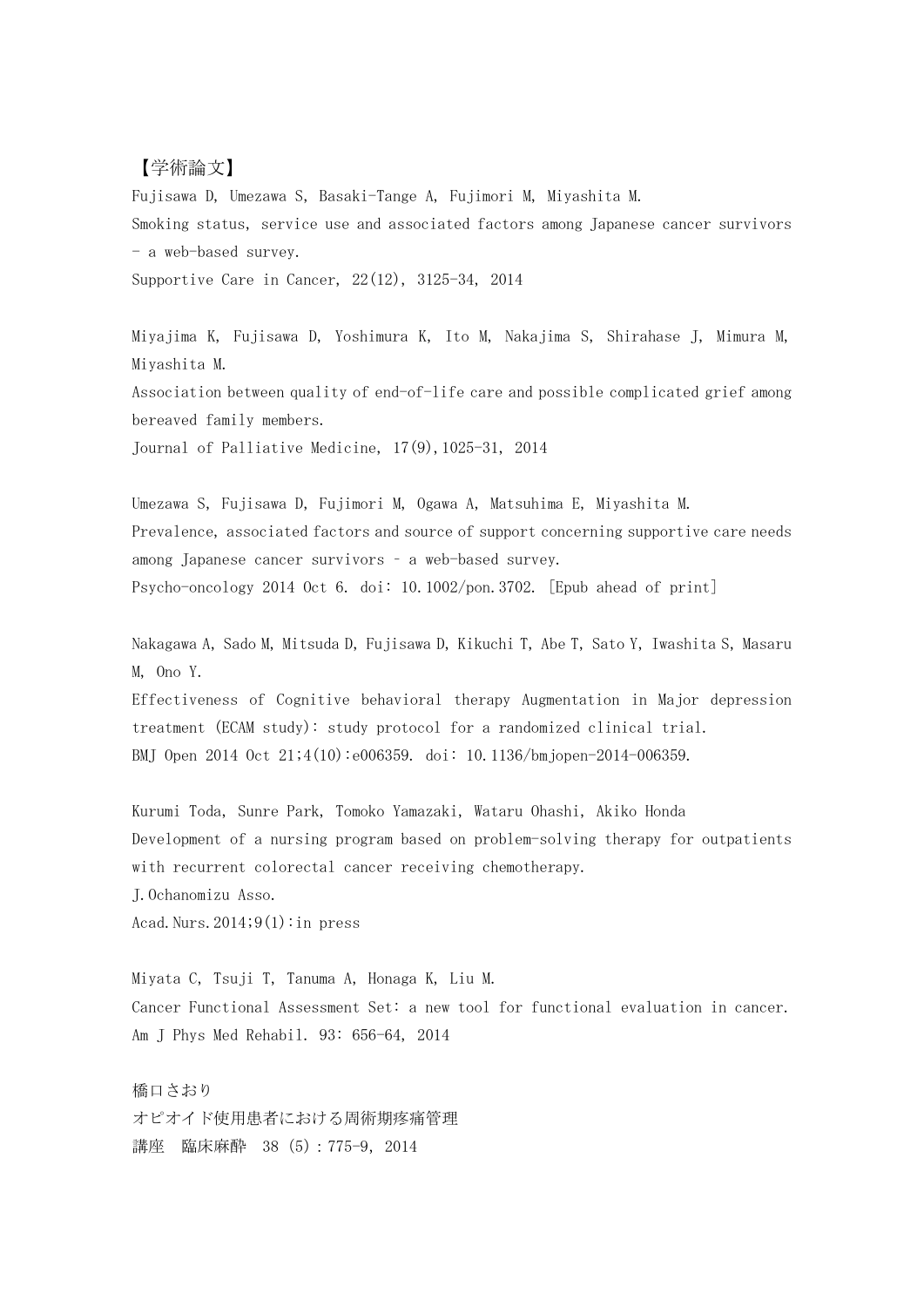## 【学術論文】

Fujisawa D, Umezawa S, Basaki-Tange A, Fujimori M, Miyashita M. Smoking status, service use and associated factors among Japanese cancer survivors - a web-based survey.

Supportive Care in Cancer, 22(12), 3125-34, 2014

Miyajima K, Fujisawa D, Yoshimura K, Ito M, Nakajima S, Shirahase J, Mimura M, Miyashita M.

Association between quality of end-of-life care and possible complicated grief among bereaved family members.

Journal of Palliative Medicine, 17(9),1025-31, 2014

Umezawa S, Fujisawa D, Fujimori M, Ogawa A, Matsuhima E, Miyashita M. Prevalence, associated factors and source of support concerning supportive care needs among Japanese cancer survivors – a web-based survey. Psycho-oncology 2014 Oct 6. doi: 10.1002/pon.3702. [Epub ahead of print]

Nakagawa A, Sado M, Mitsuda D, Fujisawa D, Kikuchi T, Abe T, Sato Y, Iwashita S, Masaru M, Ono Y.

Effectiveness of Cognitive behavioral therapy Augmentation in Major depression treatment (ECAM study): study protocol for a randomized clinical trial. BMJ Open 2014 Oct 21;4(10):e006359. doi: 10.1136/bmjopen-2014-006359.

Kurumi Toda, Sunre Park, Tomoko Yamazaki, Wataru Ohashi, Akiko Honda Development of a nursing program based on problem-solving therapy for outpatients with recurrent colorectal cancer receiving chemotherapy. J.Ochanomizu Asso. Acad. Nurs.  $2014;9(1)$ : in press

Miyata C, Tsuji T, Tanuma A, Honaga K, Liu M. Cancer Functional Assessment Set: a new tool for functional evaluation in cancer. Am J Phys Med Rehabil. 93: 656-64, 2014

橋口さおり オピオイド使用患者における周術期疼痛管理 講座 臨床麻酔 38 (5): 775-9, 2014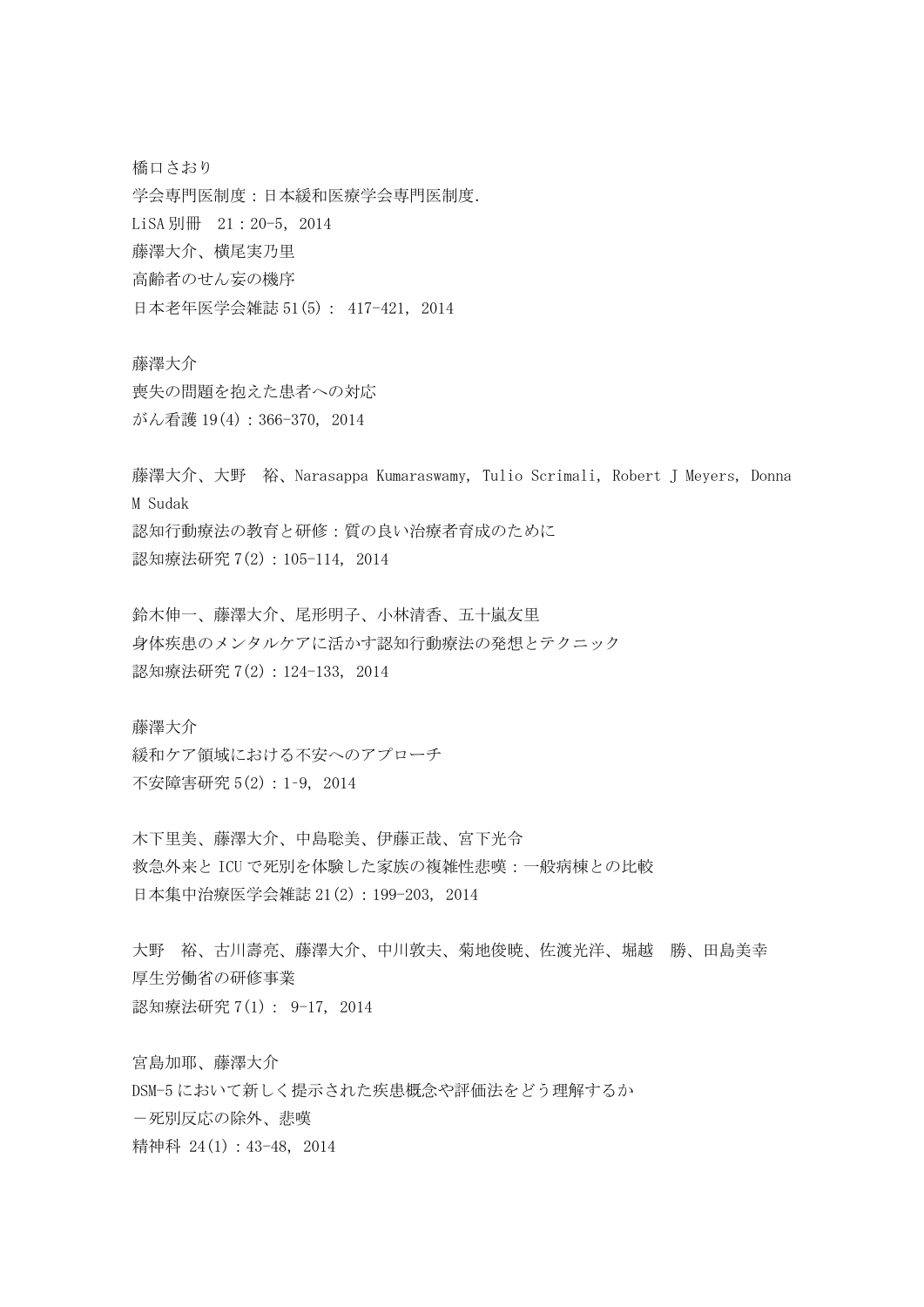橋口さおり 学会専門医制度:日本緩和医療学会専門医制度. LiSA 別冊 21:20-5, 2014 藤澤大介、横尾実乃里 高齢者のせん妄の機序 日本老年医学会雑誌 51(5): 417-421, 2014

藤澤大介 喪失の問題を抱えた患者への対応 がん看護 19(4):366-370, 2014

藤澤大介、大野 裕、Narasappa Kumaraswamy, Tulio Scrimali, Robert J Meyers, Donna M Sudak 認知行動療法の教育と研修:質の良い治療者育成のために 認知療法研究 7(2):105-114, 2014

鈴木伸一、藤澤大介、尾形明子、小林清香、五十嵐友里 身体疾患のメンタルケアに活かす認知行動療法の発想とテクニック 認知療法研究 7(2):124-133, 2014

藤澤大介 緩和ケア領域における不安へのアプローチ 不安障害研究 5(2):1–9, 2014

木下里美、藤澤大介、中島聡美、伊藤正哉、宮下光令 救急外来と ICU で死別を体験した家族の複雑性悲嘆:一般病棟との比較 日本集中治療医学会雑誌 21(2):199-203, 2014

大野 裕、古川壽亮、藤澤大介、中川敦夫、菊地俊暁、佐渡光洋、堀越 勝、田島美幸 厚生労働省の研修事業 認知療法研究 7(1): 9-17, 2014

宮島加耶、藤澤大介 DSM-5 において新しく提示された疾患概念や評価法をどう理解するか -死別反応の除外、悲嘆 精神科 24(1):43-48, 2014